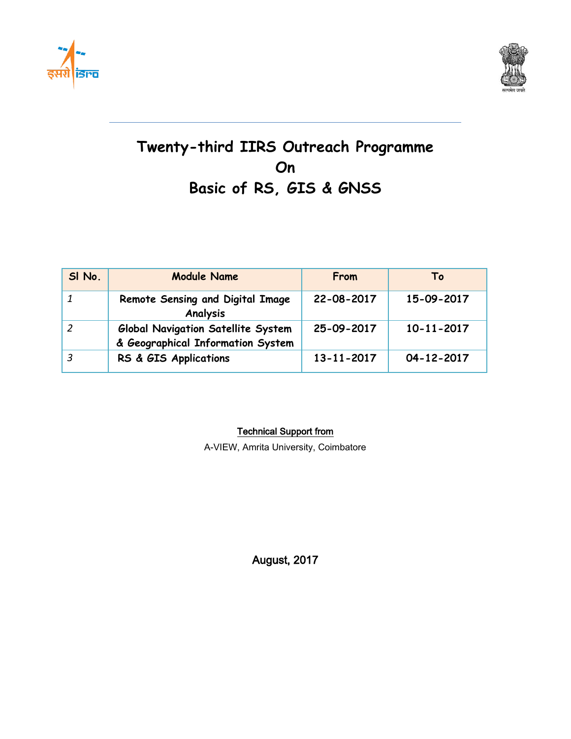



## **Twenty-third IIRS Outreach Programme On Basic of RS, GIS & GNSS**

| SI No. | <b>Module Name</b>                                                      | From       | Τo         |
|--------|-------------------------------------------------------------------------|------------|------------|
|        | Remote Sensing and Digital Image<br>Analysis                            | 22-08-2017 | 15-09-2017 |
|        | Global Navigation Satellite System<br>& Geographical Information System | 25-09-2017 | 10-11-2017 |
|        | RS & GIS Applications                                                   | 13-11-2017 | 04-12-2017 |

## Technical Support from

A-VIEW, Amrita University, Coimbatore

August, 2017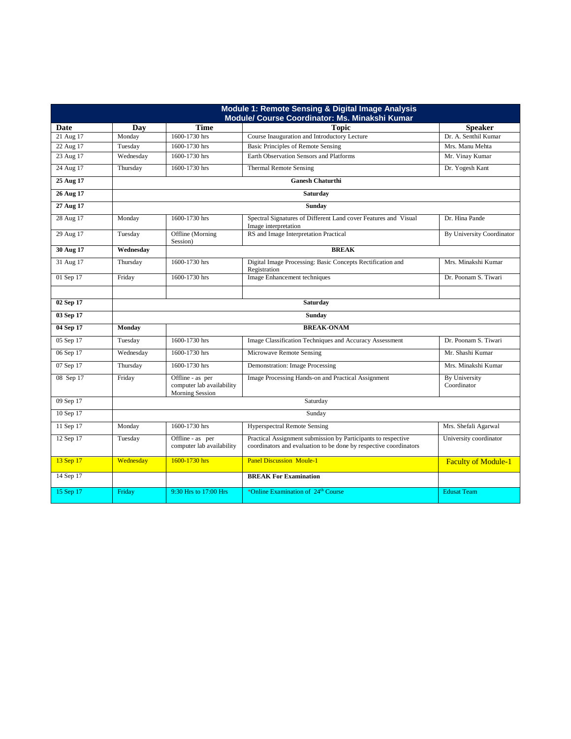| Module 1: Remote Sensing & Digital Image Analysis<br>Module/ Course Coordinator: Ms. Minakshi Kumar |           |                                                                         |                                                                                                                                    |                              |
|-----------------------------------------------------------------------------------------------------|-----------|-------------------------------------------------------------------------|------------------------------------------------------------------------------------------------------------------------------------|------------------------------|
| Date                                                                                                | Day       | Time                                                                    | <b>Topic</b>                                                                                                                       | <b>Speaker</b>               |
| 21 Aug 17                                                                                           | Monday    | 1600-1730 hrs                                                           | Course Inauguration and Introductory Lecture                                                                                       | Dr. A. Senthil Kumar         |
| 22 Aug 17                                                                                           | Tuesday   | 1600-1730 hrs                                                           | <b>Basic Principles of Remote Sensing</b>                                                                                          | Mrs. Manu Mehta              |
| 23 Aug 17                                                                                           | Wednesday | 1600-1730 hrs                                                           | <b>Earth Observation Sensors and Platforms</b>                                                                                     | Mr. Vinay Kumar              |
| 24 Aug 17                                                                                           | Thursday  | 1600-1730 hrs                                                           | <b>Thermal Remote Sensing</b>                                                                                                      | Dr. Yogesh Kant              |
| 25 Aug 17                                                                                           |           |                                                                         | <b>Ganesh Chaturthi</b>                                                                                                            |                              |
| <b>26 Aug 17</b>                                                                                    |           |                                                                         | <b>Saturday</b>                                                                                                                    |                              |
| 27 Aug 17                                                                                           |           |                                                                         | Sunday                                                                                                                             |                              |
| 28 Aug 17                                                                                           | Monday    | 1600-1730 hrs                                                           | Spectral Signatures of Different Land cover Features and Visual<br>Image interpretation                                            | Dr. Hina Pande               |
| 29 Aug 17                                                                                           | Tuesday   | Offline (Morning<br>Session)                                            | RS and Image Interpretation Practical                                                                                              | By University Coordinator    |
| 30 Aug 17                                                                                           | Wednesday |                                                                         | <b>BREAK</b>                                                                                                                       |                              |
| 31 Aug 17                                                                                           | Thursday  | 1600-1730 hrs                                                           | Digital Image Processing: Basic Concepts Rectification and<br>Registration                                                         | Mrs. Minakshi Kumar          |
| 01 Sep 17                                                                                           | Friday    | 1600-1730 hrs                                                           | Image Enhancement techniques                                                                                                       | Dr. Poonam S. Tiwari         |
|                                                                                                     |           |                                                                         |                                                                                                                                    |                              |
| 02 Sep 17                                                                                           | Saturday  |                                                                         |                                                                                                                                    |                              |
| 03 Sep 17                                                                                           | Sunday    |                                                                         |                                                                                                                                    |                              |
| 04 Sep 17                                                                                           | Mondav    | <b>BREAK-ONAM</b>                                                       |                                                                                                                                    |                              |
| 05 Sep 17                                                                                           | Tuesday   | 1600-1730 hrs                                                           | Image Classification Techniques and Accuracy Assessment                                                                            | Dr. Poonam S. Tiwari         |
| 06 Sep 17                                                                                           | Wednesday | 1600-1730 hrs                                                           | Microwave Remote Sensing                                                                                                           | Mr. Shashi Kumar             |
| 07 Sep 17                                                                                           | Thursday  | 1600-1730 hrs                                                           | Demonstration: Image Processing                                                                                                    | Mrs. Minakshi Kumar          |
| 08 Sep 17                                                                                           | Friday    | Offline - as per<br>computer lab availability<br><b>Morning Session</b> | Image Processing Hands-on and Practical Assignment                                                                                 | By University<br>Coordinator |
| 09 Sep 17                                                                                           | Saturday  |                                                                         |                                                                                                                                    |                              |
| 10 Sep 17                                                                                           | Sunday    |                                                                         |                                                                                                                                    |                              |
| 11 Sep 17                                                                                           | Monday    | 1600-1730 hrs                                                           | <b>Hyperspectral Remote Sensing</b>                                                                                                | Mrs. Shefali Agarwal         |
| 12 Sep 17                                                                                           | Tuesday   | Offline - as per<br>computer lab availability                           | Practical Assignment submission by Participants to respective<br>coordinators and evaluation to be done by respective coordinators | University coordinator       |
| 13 Sep 17                                                                                           | Wednesday | 1600-1730 hrs                                                           | <b>Panel Discussion Moule-1</b>                                                                                                    | <b>Faculty of Module-1</b>   |
| 14 Sep 17                                                                                           |           |                                                                         | <b>BREAK For Examination</b>                                                                                                       |                              |
| 15 Sep 17                                                                                           | Friday    | 9:30 Hrs to 17:00 Hrs                                                   | *Online Examination of 24 <sup>th</sup> Course                                                                                     | <b>Edusat Team</b>           |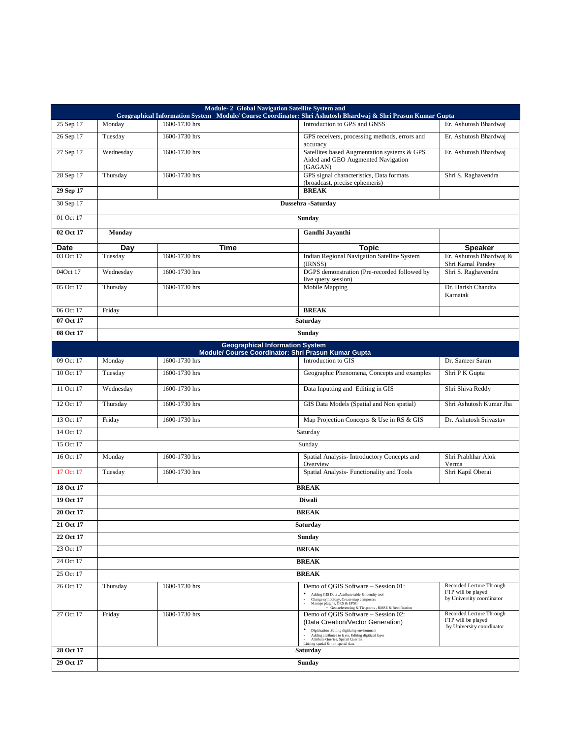|           | Module-2 Global Navigation Satellite System and<br>Geographical Information System Module/ Course Coordinator: Shri Ashutosh Bhardwaj & Shri Prasun Kumar Gupta |               |                                        |                                                                                                                                                                                                                                                                        |                                                                             |  |
|-----------|-----------------------------------------------------------------------------------------------------------------------------------------------------------------|---------------|----------------------------------------|------------------------------------------------------------------------------------------------------------------------------------------------------------------------------------------------------------------------------------------------------------------------|-----------------------------------------------------------------------------|--|
| 25 Sep 17 | Monday                                                                                                                                                          | 1600-1730 hrs |                                        | Introduction to GPS and GNSS                                                                                                                                                                                                                                           | Er. Ashutosh Bhardwaj                                                       |  |
| 26 Sep 17 | Tuesday                                                                                                                                                         | 1600-1730 hrs |                                        | GPS receivers, processing methods, errors and                                                                                                                                                                                                                          | Er. Ashutosh Bhardwaj                                                       |  |
| 27 Sep 17 | Wednesday                                                                                                                                                       | 1600-1730 hrs |                                        | accuracy<br>Satellites based Augmentation systems & GPS<br>Aided and GEO Augmented Navigation<br>(GAGAN)                                                                                                                                                               | Er. Ashutosh Bhardwaj                                                       |  |
| 28 Sep 17 | Thursday                                                                                                                                                        | 1600-1730 hrs |                                        | GPS signal characteristics, Data formats<br>(broadcast, precise ephemeris)                                                                                                                                                                                             | Shri S. Raghavendra                                                         |  |
| 29 Sep 17 |                                                                                                                                                                 |               |                                        | <b>BREAK</b>                                                                                                                                                                                                                                                           |                                                                             |  |
| 30 Sep 17 |                                                                                                                                                                 |               |                                        | Dussehra -Saturday                                                                                                                                                                                                                                                     |                                                                             |  |
| 01 Oct 17 |                                                                                                                                                                 |               |                                        | <b>Sunday</b>                                                                                                                                                                                                                                                          |                                                                             |  |
| 02 Oct 17 | <b>Monday</b>                                                                                                                                                   |               |                                        | Gandhi Jayanthi                                                                                                                                                                                                                                                        |                                                                             |  |
| Date      | Day                                                                                                                                                             |               | Time                                   | <b>Topic</b>                                                                                                                                                                                                                                                           | <b>Speaker</b>                                                              |  |
| 03 Oct 17 | Tuesday                                                                                                                                                         | 1600-1730 hrs |                                        | Indian Regional Navigation Satellite System<br>(IRNSS)                                                                                                                                                                                                                 | Er. Ashutosh Bhardwaj &<br>Shri Kamal Pandey                                |  |
| 04Oct 17  | Wednesday                                                                                                                                                       | 1600-1730 hrs |                                        | DGPS demonstration (Pre-recorded followed by<br>live query session)                                                                                                                                                                                                    | Shri S. Raghavendra                                                         |  |
| 05 Oct 17 | Thursday                                                                                                                                                        | 1600-1730 hrs |                                        | Mobile Mapping                                                                                                                                                                                                                                                         | Dr. Harish Chandra<br>Karnatak                                              |  |
| 06 Oct 17 | Friday                                                                                                                                                          |               |                                        | <b>BREAK</b>                                                                                                                                                                                                                                                           |                                                                             |  |
| 07 Oct 17 |                                                                                                                                                                 |               |                                        | <b>Saturday</b>                                                                                                                                                                                                                                                        |                                                                             |  |
| 08 Oct 17 |                                                                                                                                                                 |               |                                        | <b>Sunday</b>                                                                                                                                                                                                                                                          |                                                                             |  |
|           |                                                                                                                                                                 |               | <b>Geographical Information System</b> |                                                                                                                                                                                                                                                                        |                                                                             |  |
|           |                                                                                                                                                                 |               |                                        | Module/ Course Coordinator: Shri Prasun Kumar Gupta                                                                                                                                                                                                                    |                                                                             |  |
| 09 Oct 17 | Monday                                                                                                                                                          | 1600-1730 hrs |                                        | Introduction to GIS                                                                                                                                                                                                                                                    | Dr. Sameer Saran                                                            |  |
| 10 Oct 17 | Tuesday                                                                                                                                                         | 1600-1730 hrs |                                        | Geographic Phenomena, Concepts and examples                                                                                                                                                                                                                            | Shri P K Gupta                                                              |  |
| 11 Oct 17 | Wednesday                                                                                                                                                       | 1600-1730 hrs |                                        | Data Inputting and Editing in GIS                                                                                                                                                                                                                                      | Shri Shiva Reddy                                                            |  |
| 12 Oct 17 | Thursday                                                                                                                                                        | 1600-1730 hrs |                                        | GIS Data Models (Spatial and Non spatial)                                                                                                                                                                                                                              | Shri Ashutosh Kumar Jha                                                     |  |
| 13 Oct 17 | Friday                                                                                                                                                          | 1600-1730 hrs |                                        | Map Projection Concepts & Use in RS & GIS                                                                                                                                                                                                                              | Dr. Ashutosh Srivastav                                                      |  |
| 14 Oct 17 | Saturday                                                                                                                                                        |               |                                        |                                                                                                                                                                                                                                                                        |                                                                             |  |
| 15 Oct 17 | Sunday                                                                                                                                                          |               |                                        |                                                                                                                                                                                                                                                                        |                                                                             |  |
| 16 Oct 17 | Monday                                                                                                                                                          | 1600-1730 hrs |                                        | Spatial Analysis- Introductory Concepts and<br>Overview                                                                                                                                                                                                                | Shri Prabhhar Alok<br>Verma                                                 |  |
| 17 Oct 17 | Tuesday                                                                                                                                                         | 1600-1730 hrs |                                        | Spatial Analysis- Functionality and Tools                                                                                                                                                                                                                              | Shri Kapil Oberai                                                           |  |
| 18 Oct 17 | <b>BREAK</b>                                                                                                                                                    |               |                                        |                                                                                                                                                                                                                                                                        |                                                                             |  |
| 19 Oct 17 | <b>Diwali</b>                                                                                                                                                   |               |                                        |                                                                                                                                                                                                                                                                        |                                                                             |  |
| 20 Oct 17 |                                                                                                                                                                 | <b>BREAK</b>  |                                        |                                                                                                                                                                                                                                                                        |                                                                             |  |
| 21 Oct 17 | Saturdav                                                                                                                                                        |               |                                        |                                                                                                                                                                                                                                                                        |                                                                             |  |
| 22 Oct 17 | Sunday                                                                                                                                                          |               |                                        |                                                                                                                                                                                                                                                                        |                                                                             |  |
| 23 Oct 17 |                                                                                                                                                                 | <b>BREAK</b>  |                                        |                                                                                                                                                                                                                                                                        |                                                                             |  |
| 24 Oct 17 | <b>BREAK</b>                                                                                                                                                    |               |                                        |                                                                                                                                                                                                                                                                        |                                                                             |  |
| 25 Oct 17 |                                                                                                                                                                 |               |                                        | <b>BREAK</b>                                                                                                                                                                                                                                                           |                                                                             |  |
| 26 Oct 17 | Thursday                                                                                                                                                        | 1600-1730 hrs |                                        | Demo of QGIS Software - Session 01:<br>Adding GIS Data , Attribute table & identity tool<br>Change symbology, Create map composers<br>Manage plugins, CRS & EPSG<br>· Geo-referencing & Tie-points , RMSE & Rectification                                              | Recorded Lecture Through<br>FTP will be played<br>by University coordinator |  |
| 27 Oct 17 | Friday                                                                                                                                                          | 1600-1730 hrs |                                        | Demo of OGIS Software - Session 02:<br>(Data Creation/Vector Generation)<br>Digitization ,Setting digitizing environment<br>Adding attributes to layer, Editing digitized layer<br>$\cdot$<br>Attribute Queries, Spatial Queries<br>Linking spatial & non-spatial data | Recorded Lecture Through<br>FTP will be played<br>by University coordinator |  |
| 28 Oct 17 | Saturday                                                                                                                                                        |               |                                        |                                                                                                                                                                                                                                                                        |                                                                             |  |
| 29 Oct 17 |                                                                                                                                                                 |               |                                        | Sunday                                                                                                                                                                                                                                                                 |                                                                             |  |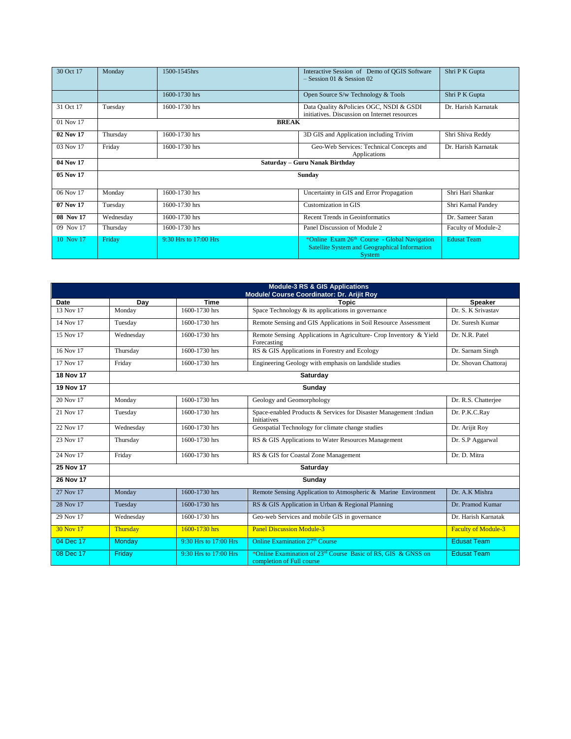| 30 Oct 17 | Monday                         | 1500-1545hrs          | Interactive Session of Demo of QGIS Software<br>$-$ Session 01 & Session 02                                    | Shri P K Gupta      |
|-----------|--------------------------------|-----------------------|----------------------------------------------------------------------------------------------------------------|---------------------|
|           |                                | 1600-1730 hrs         | Open Source S/w Technology & Tools                                                                             | Shri P K Gupta      |
| 31 Oct 17 | Tuesday                        | 1600-1730 hrs         | Data Quality &Policies OGC, NSDI & GSDI<br>initiatives. Discussion on Internet resources                       | Dr. Harish Karnatak |
| 01 Nov 17 | <b>BREAK</b>                   |                       |                                                                                                                |                     |
| 02 Nov 17 | Thursday                       | 1600-1730 hrs         | 3D GIS and Application including Trivim                                                                        | Shri Shiva Reddy    |
| 03 Nov 17 | Friday                         | 1600-1730 hrs         | Geo-Web Services: Technical Concepts and<br>Applications                                                       | Dr. Harish Karnatak |
| 04 Nov 17 | Saturday - Guru Nanak Birthday |                       |                                                                                                                |                     |
| 05 Nov 17 | Sunday                         |                       |                                                                                                                |                     |
| 06 Nov 17 | Monday                         | 1600-1730 hrs         | Uncertainty in GIS and Error Propagation                                                                       | Shri Hari Shankar   |
| 07 Nov 17 | Tuesday                        | 1600-1730 hrs         | <b>Customization in GIS</b>                                                                                    | Shri Kamal Pandey   |
| 08 Nov 17 | Wednesday                      | 1600-1730 hrs         | Recent Trends in Geoinformatics                                                                                | Dr. Sameer Saran    |
| 09 Nov 17 | Thursday                       | 1600-1730 hrs         | Panel Discussion of Module 2                                                                                   | Faculty of Module-2 |
| 10 Nov 17 | Friday                         | 9:30 Hrs to 17:00 Hrs | *Online Exam 26th Course - Global Navigation<br>Satellite System and Geographical Information<br><b>System</b> | <b>Edusat Team</b>  |

|                  |           |                       | <b>Module-3 RS &amp; GIS Applications</b><br>Module/ Course Coordinator: Dr. Arijit Roy                |                            |
|------------------|-----------|-----------------------|--------------------------------------------------------------------------------------------------------|----------------------------|
| Date             | Day       | <b>Time</b>           | <b>Topic</b>                                                                                           | <b>Speaker</b>             |
| 13 Nov 17        | Monday    | 1600-1730 hrs         | Space Technology $\&$ its applications in governance                                                   | Dr. S. K Srivastav         |
| 14 Nov 17        | Tuesday   | 1600-1730 hrs         | Remote Sensing and GIS Applications in Soil Resource Assessment                                        | Dr. Suresh Kumar           |
| 15 Nov 17        | Wednesday | 1600-1730 hrs         | Remote Sensing Applications in Agriculture- Crop Inventory & Yield<br>Forecasting                      | Dr. N.R. Patel             |
| 16 Nov 17        | Thursday  | 1600-1730 hrs         | RS & GIS Applications in Forestry and Ecology                                                          | Dr. Sarnam Singh           |
| 17 Nov 17        | Friday    | 1600-1730 hrs         | Engineering Geology with emphasis on landslide studies                                                 | Dr. Shovan Chattoraj       |
| <b>18 Nov 17</b> | Saturday  |                       |                                                                                                        |                            |
| 19 Nov 17        | Sunday    |                       |                                                                                                        |                            |
| 20 Nov 17        | Monday    | 1600-1730 hrs         | Geology and Geomorphology                                                                              | Dr. R.S. Chatterjee        |
| 21 Nov 17        | Tuesdav   | 1600-1730 hrs         | Space-enabled Products & Services for Disaster Management : Indian<br>Initiatives                      | Dr. P.K.C.Ray              |
| 22 Nov 17        | Wednesday | 1600-1730 hrs         | Geospatial Technology for climate change studies                                                       | Dr. Arijit Roy             |
| 23 Nov 17        | Thursday  | 1600-1730 hrs         | RS & GIS Applications to Water Resources Management                                                    | Dr. S.P Aggarwal           |
| 24 Nov 17        | Friday    | 1600-1730 hrs         | RS & GIS for Coastal Zone Management                                                                   | Dr. D. Mitra               |
| 25 Nov 17        | Saturday  |                       |                                                                                                        |                            |
| 26 Nov 17        | Sunday    |                       |                                                                                                        |                            |
| 27 Nov 17        | Monday    | 1600-1730 hrs         | Remote Sensing Application to Atmospheric & Marine Environment                                         | Dr. A.K Mishra             |
| 28 Nov 17        | Tuesday   | 1600-1730 hrs         | RS & GIS Application in Urban & Regional Planning                                                      | Dr. Pramod Kumar           |
| 29 Nov 17        | Wednesday | 1600-1730 hrs         | Geo-web Services and mobile GIS in governance                                                          | Dr. Harish Karnatak        |
| 30 Nov 17        | Thursday  | 1600-1730 hrs         | <b>Panel Discussion Module-3</b>                                                                       | <b>Faculty of Module-3</b> |
| 04 Dec 17        | Monday    | 9:30 Hrs to 17:00 Hrs | Online Examination 27 <sup>th</sup> Course                                                             | <b>Edusat Team</b>         |
| 08 Dec 17        | Friday    | 9:30 Hrs to 17:00 Hrs | *Online Examination of 23 <sup>rd</sup> Course Basic of RS, GIS & GNSS on<br>completion of Full course | <b>Edusat Team</b>         |